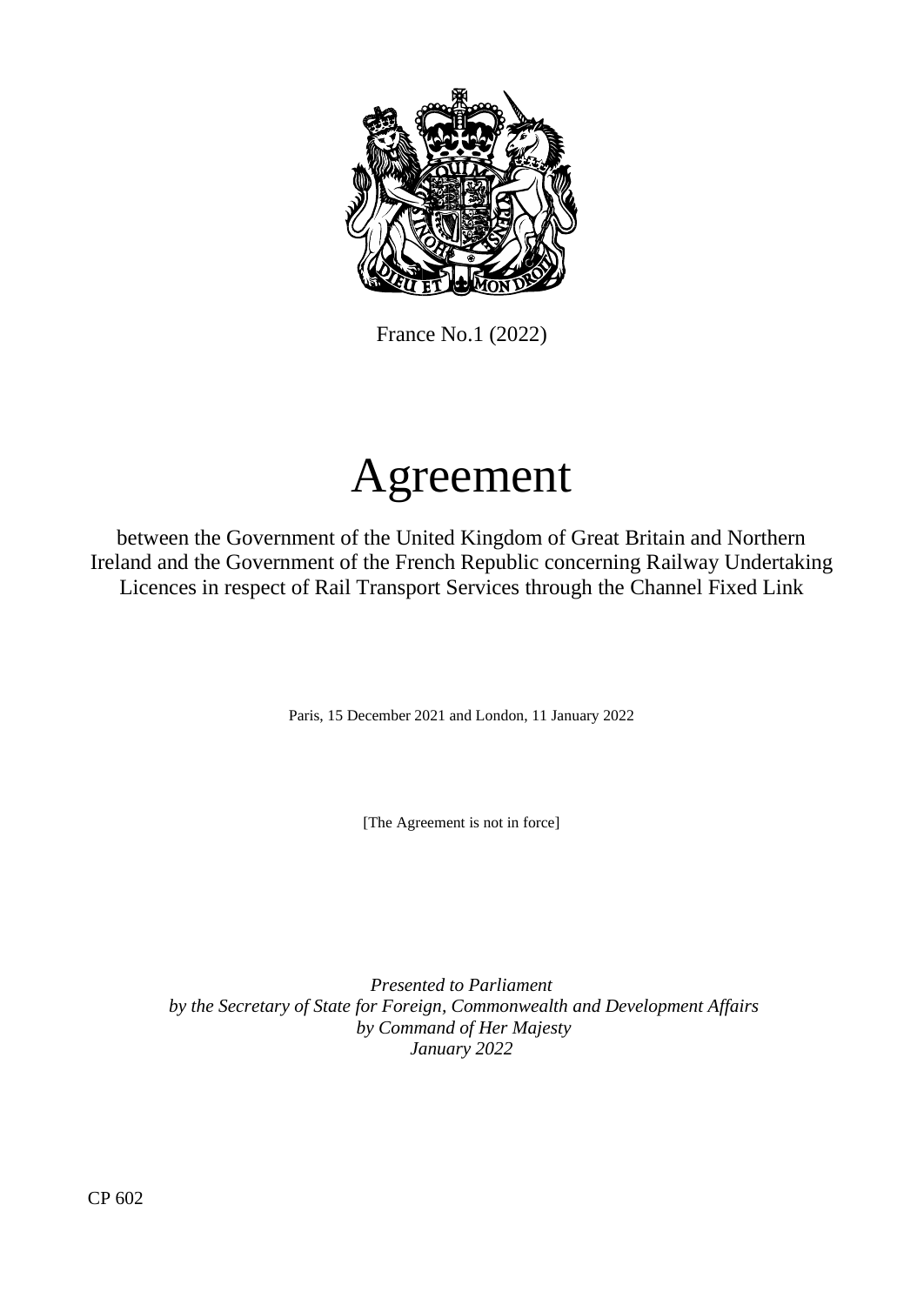

France No.1 (2022)

# Agreement

between the Government of the United Kingdom of Great Britain and Northern Ireland and the Government of the French Republic concerning Railway Undertaking Licences in respect of Rail Transport Services through the Channel Fixed Link

Paris, 15 December 2021 and London, 11 January 2022

[The Agreement is not in force]

*Presented to Parliament by the Secretary of State for Foreign, Commonwealth and Development Affairs by Command of Her Majesty January 2022*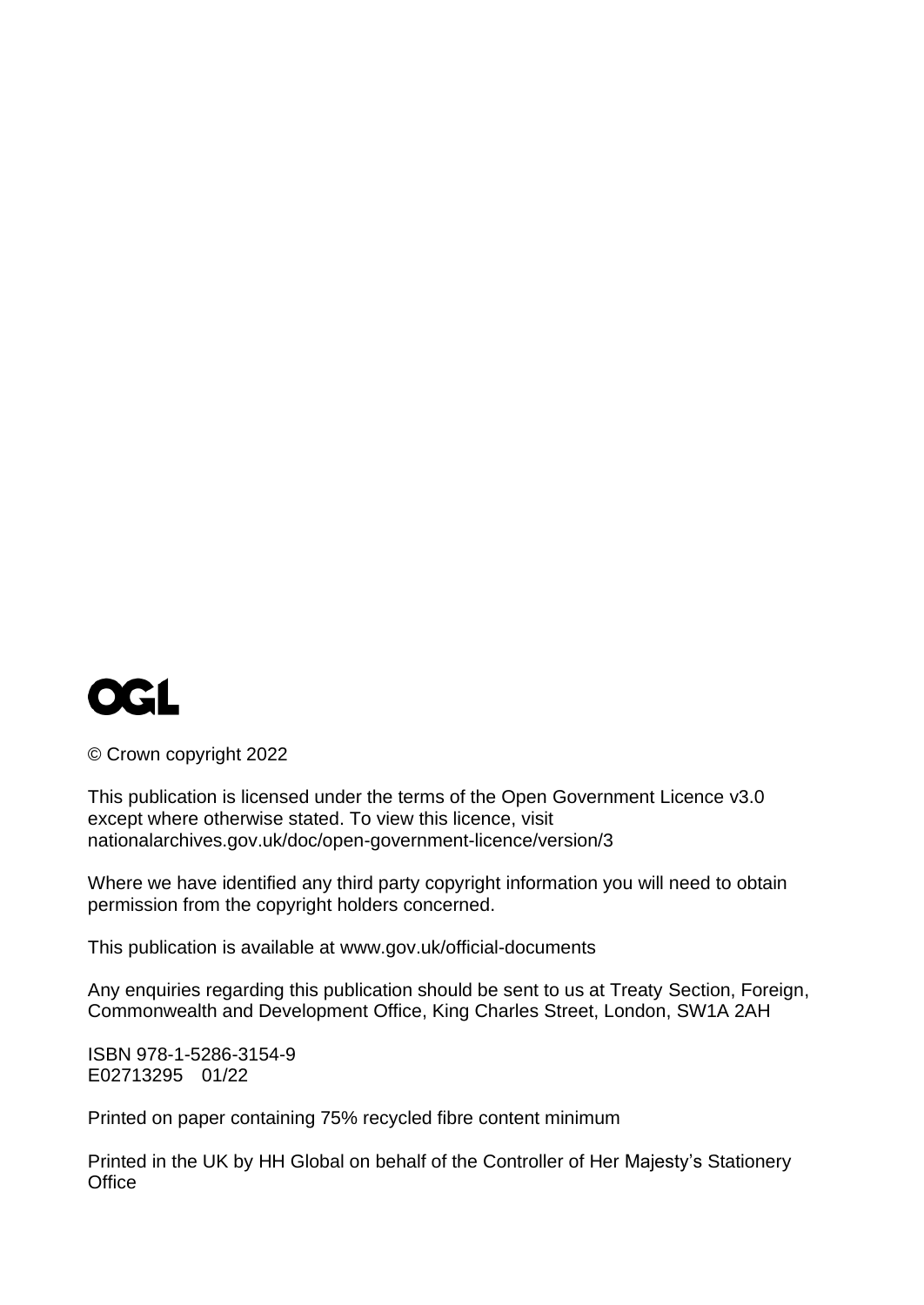

© Crown copyright 2022

This publication is licensed under the terms of the Open Government Licence v3.0 except where otherwise stated. To view this licence, visit [nationalarchives.gov.uk/doc/open-government-licence/version/3](http://www.nationalarchives.gov.uk/doc/open-government-licence/version/3)

Where we have identified any third party copyright information you will need to obtain permission from the copyright holders concerned.

This publication is available at [www.gov.uk/official-documents](http://www.gov.uk/official-documents)

Any enquiries regarding this publication should be sent to us at Treaty Section, Foreign, Commonwealth and Development Office, King Charles Street, London, SW1A 2AH

ISBN 978-1-5286-3154-9 E02713295 01/22

Printed on paper containing 75% recycled fibre content minimum

Printed in the UK by HH Global on behalf of the Controller of Her Majesty's Stationery **Office**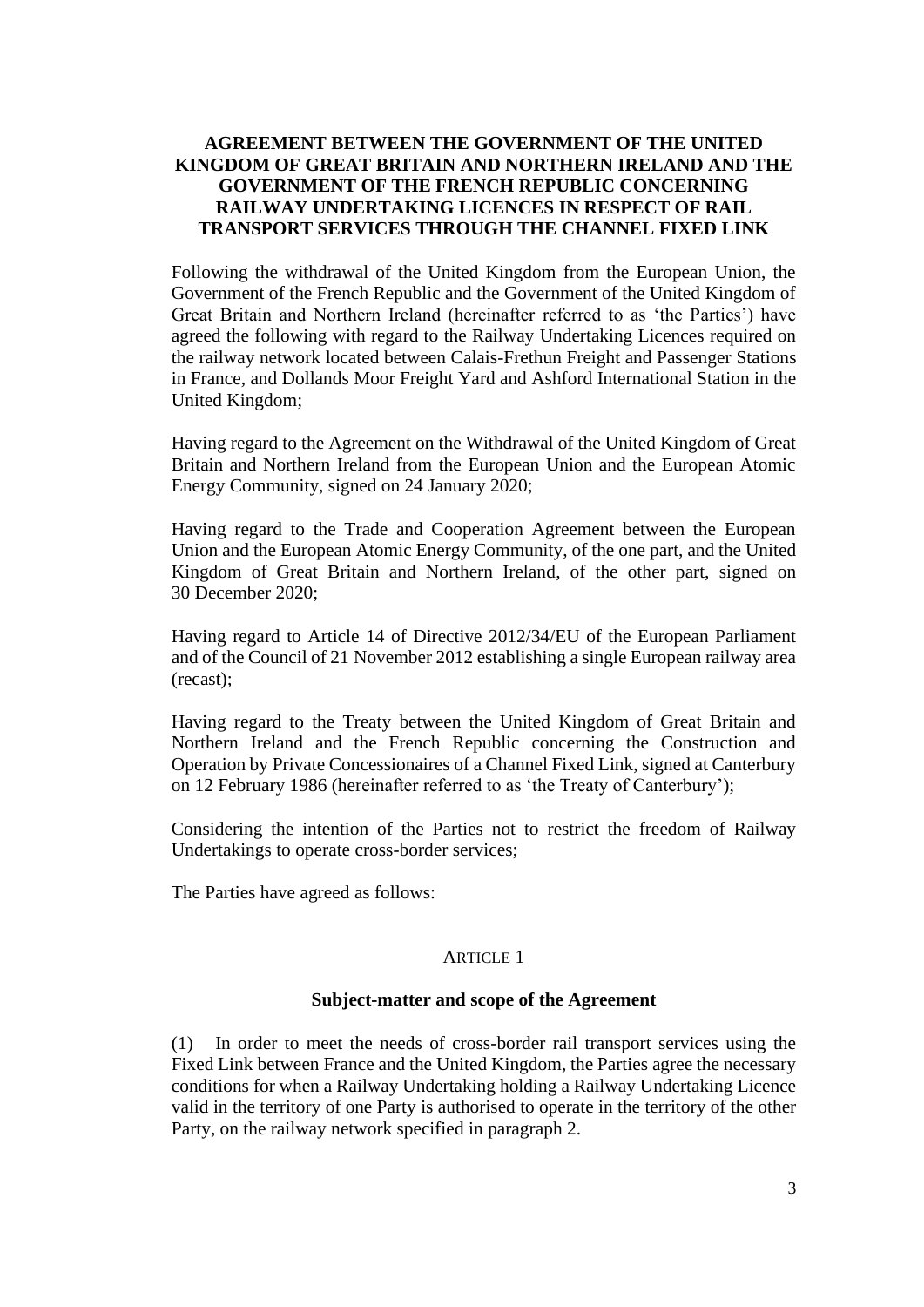# **AGREEMENT BETWEEN THE GOVERNMENT OF THE UNITED KINGDOM OF GREAT BRITAIN AND NORTHERN IRELAND AND THE GOVERNMENT OF THE FRENCH REPUBLIC CONCERNING RAILWAY UNDERTAKING LICENCES IN RESPECT OF RAIL TRANSPORT SERVICES THROUGH THE CHANNEL FIXED LINK**

Following the withdrawal of the United Kingdom from the European Union, the Government of the French Republic and the Government of the United Kingdom of Great Britain and Northern Ireland (hereinafter referred to as 'the Parties') have agreed the following with regard to the Railway Undertaking Licences required on the railway network located between Calais-Frethun Freight and Passenger Stations in France, and Dollands Moor Freight Yard and Ashford International Station in the United Kingdom;

Having regard to the Agreement on the Withdrawal of the United Kingdom of Great Britain and Northern Ireland from the European Union and the European Atomic Energy Community, signed on 24 January 2020;

Having regard to the Trade and Cooperation Agreement between the European Union and the European Atomic Energy Community, of the one part, and the United Kingdom of Great Britain and Northern Ireland, of the other part, signed on 30 December 2020;

Having regard to Article 14 of Directive 2012/34/EU of the European Parliament and of the Council of 21 November 2012 establishing a single European railway area (recast);

Having regard to the Treaty between the United Kingdom of Great Britain and Northern Ireland and the French Republic concerning the Construction and Operation by Private Concessionaires of a Channel Fixed Link, signed at Canterbury on 12 February 1986 (hereinafter referred to as 'the Treaty of Canterbury');

Considering the intention of the Parties not to restrict the freedom of Railway Undertakings to operate cross-border services;

The Parties have agreed as follows:

## ARTICLE 1

## **Subject-matter and scope of the Agreement**

(1) In order to meet the needs of cross-border rail transport services using the Fixed Link between France and the United Kingdom, the Parties agree the necessary conditions for when a Railway Undertaking holding a Railway Undertaking Licence valid in the territory of one Party is authorised to operate in the territory of the other Party, on the railway network specified in paragraph 2.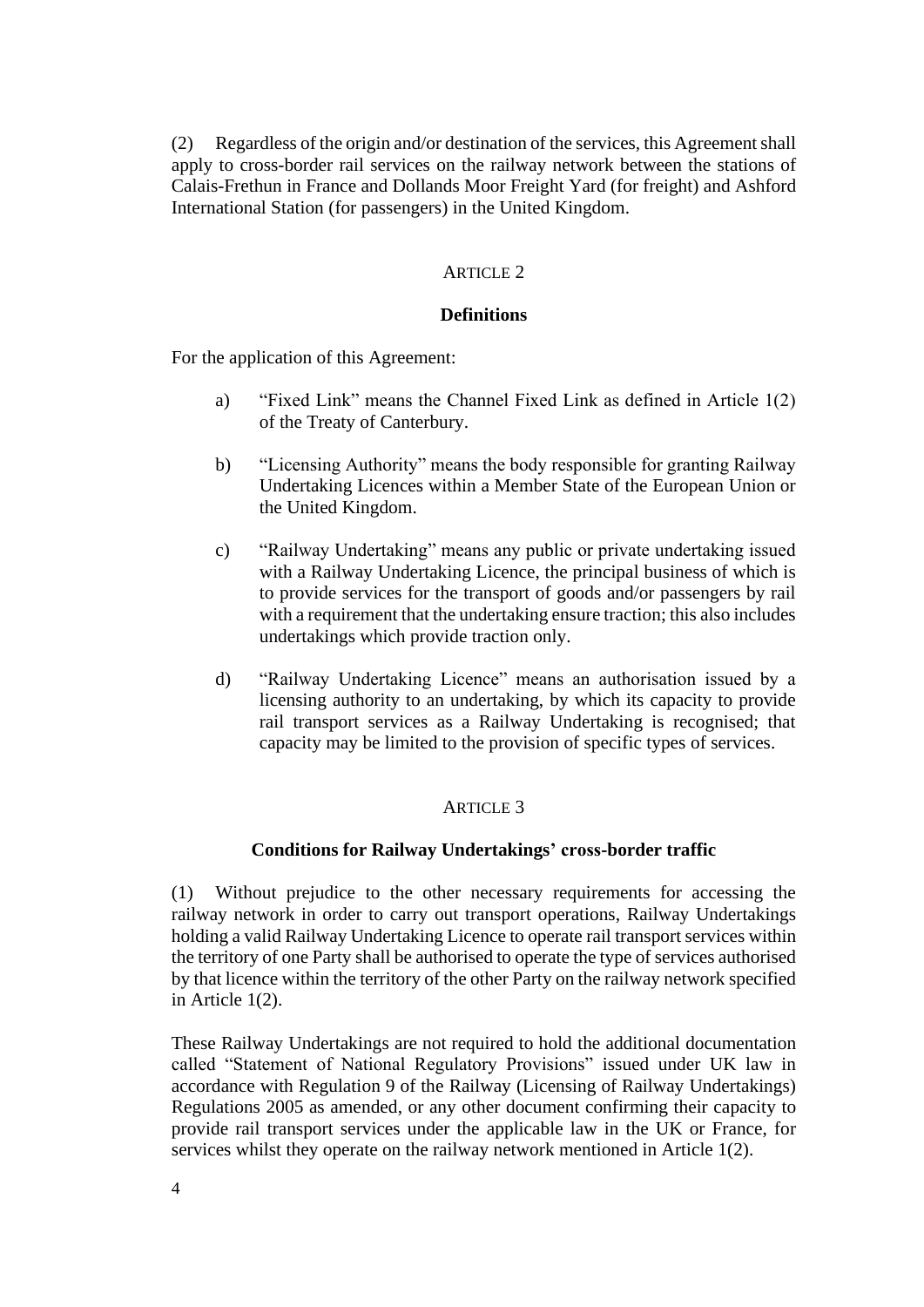(2) Regardless of the origin and/or destination of the services, this Agreement shall apply to cross-border rail services on the railway network between the stations of Calais-Frethun in France and Dollands Moor Freight Yard (for freight) and Ashford International Station (for passengers) in the United Kingdom.

## ARTICLE 2

## **Definitions**

For the application of this Agreement:

- a) "Fixed Link" means the Channel Fixed Link as defined in Article 1(2) of the Treaty of Canterbury.
- b) "Licensing Authority" means the body responsible for granting Railway Undertaking Licences within a Member State of the European Union or the United Kingdom.
- c) "Railway Undertaking" means any public or private undertaking issued with a Railway Undertaking Licence, the principal business of which is to provide services for the transport of goods and/or passengers by rail with a requirement that the undertaking ensure traction; this also includes undertakings which provide traction only.
- d) "Railway Undertaking Licence" means an authorisation issued by a licensing authority to an undertaking, by which its capacity to provide rail transport services as a Railway Undertaking is recognised; that capacity may be limited to the provision of specific types of services.

## **ARTICLE 3**

## **Conditions for Railway Undertakings' cross-border traffic**

(1) Without prejudice to the other necessary requirements for accessing the railway network in order to carry out transport operations, Railway Undertakings holding a valid Railway Undertaking Licence to operate rail transport services within the territory of one Party shall be authorised to operate the type of services authorised by that licence within the territory of the other Party on the railway network specified in Article 1(2).

These Railway Undertakings are not required to hold the additional documentation called "Statement of National Regulatory Provisions" issued under UK law in accordance with Regulation 9 of the Railway (Licensing of Railway Undertakings) Regulations 2005 as amended, or any other document confirming their capacity to provide rail transport services under the applicable law in the UK or France, for services whilst they operate on the railway network mentioned in Article 1(2).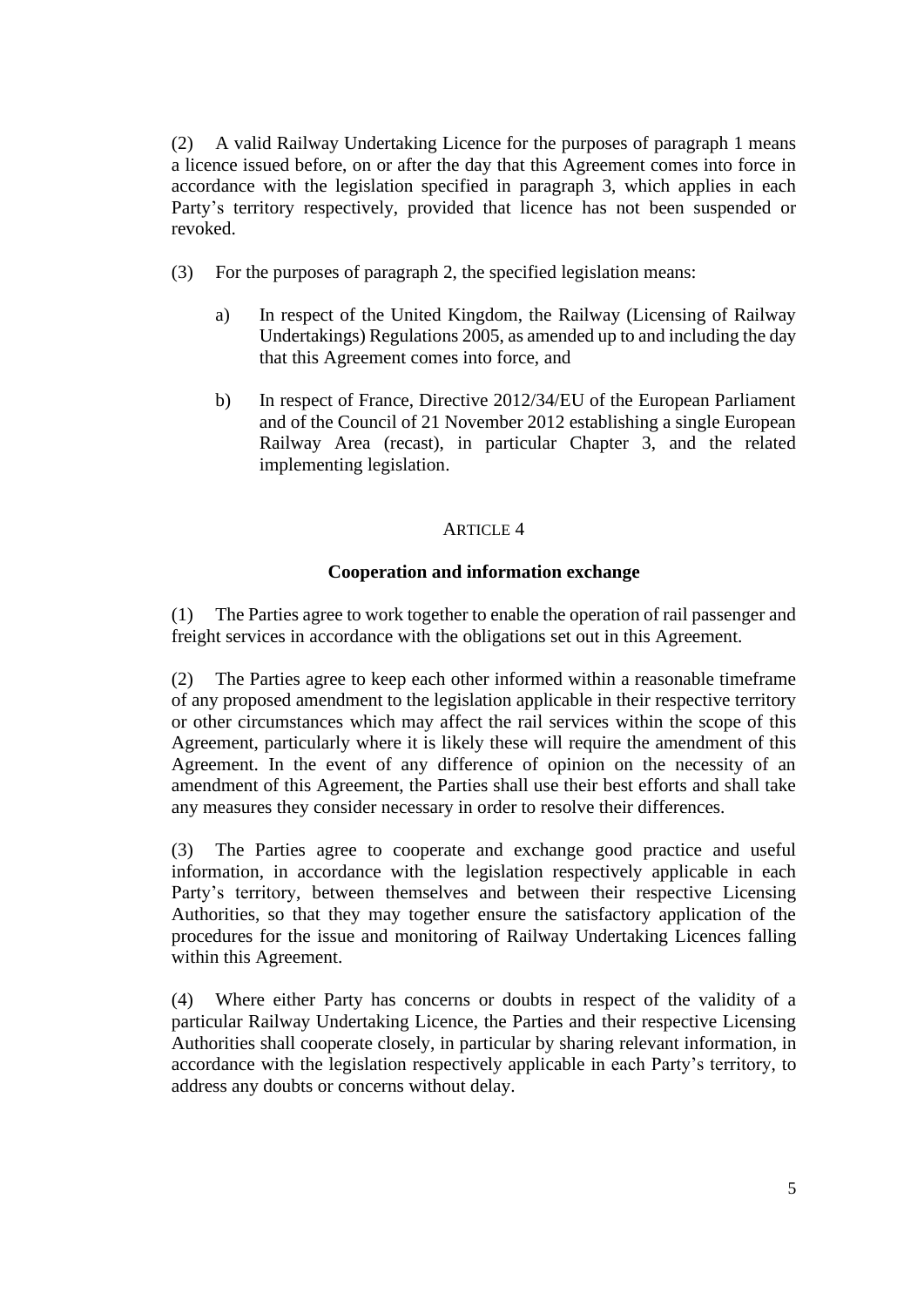(2) A valid Railway Undertaking Licence for the purposes of paragraph 1 means a licence issued before, on or after the day that this Agreement comes into force in accordance with the legislation specified in paragraph 3, which applies in each Party's territory respectively, provided that licence has not been suspended or revoked.

- (3) For the purposes of paragraph 2, the specified legislation means:
	- a) In respect of the United Kingdom, the Railway (Licensing of Railway Undertakings) Regulations 2005, as amended up to and including the day that this Agreement comes into force, and
	- b) In respect of France, Directive 2012/34/EU of the European Parliament and of the Council of 21 November 2012 establishing a single European Railway Area (recast), in particular Chapter 3, and the related implementing legislation.

# ARTICLE 4

# **Cooperation and information exchange**

(1) The Parties agree to work together to enable the operation of rail passenger and freight services in accordance with the obligations set out in this Agreement.

(2) The Parties agree to keep each other informed within a reasonable timeframe of any proposed amendment to the legislation applicable in their respective territory or other circumstances which may affect the rail services within the scope of this Agreement, particularly where it is likely these will require the amendment of this Agreement. In the event of any difference of opinion on the necessity of an amendment of this Agreement, the Parties shall use their best efforts and shall take any measures they consider necessary in order to resolve their differences.

(3) The Parties agree to cooperate and exchange good practice and useful information, in accordance with the legislation respectively applicable in each Party's territory, between themselves and between their respective Licensing Authorities, so that they may together ensure the satisfactory application of the procedures for the issue and monitoring of Railway Undertaking Licences falling within this Agreement.

(4) Where either Party has concerns or doubts in respect of the validity of a particular Railway Undertaking Licence, the Parties and their respective Licensing Authorities shall cooperate closely, in particular by sharing relevant information, in accordance with the legislation respectively applicable in each Party's territory, to address any doubts or concerns without delay.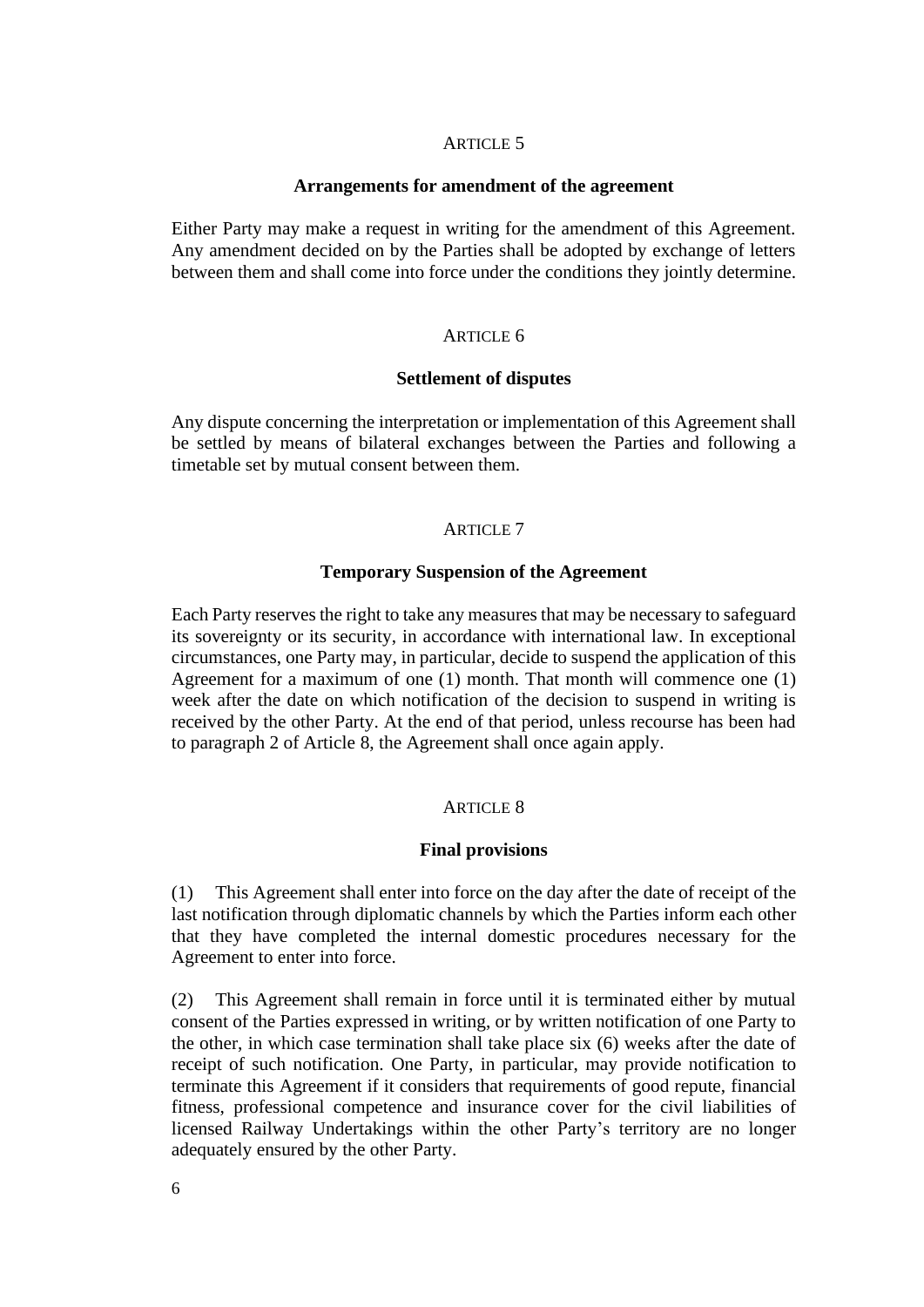## ARTICLE 5

#### **Arrangements for amendment of the agreement**

Either Party may make a request in writing for the amendment of this Agreement. Any amendment decided on by the Parties shall be adopted by exchange of letters between them and shall come into force under the conditions they jointly determine.

## ARTICLE 6

#### **Settlement of disputes**

Any dispute concerning the interpretation or implementation of this Agreement shall be settled by means of bilateral exchanges between the Parties and following a timetable set by mutual consent between them.

#### ARTICLE 7

## **Temporary Suspension of the Agreement**

Each Party reserves the right to take any measures that may be necessary to safeguard its sovereignty or its security, in accordance with international law. In exceptional circumstances, one Party may, in particular, decide to suspend the application of this Agreement for a maximum of one (1) month. That month will commence one (1) week after the date on which notification of the decision to suspend in writing is received by the other Party. At the end of that period, unless recourse has been had to paragraph 2 of Article 8, the Agreement shall once again apply.

## ARTICLE 8

#### **Final provisions**

(1) This Agreement shall enter into force on the day after the date of receipt of the last notification through diplomatic channels by which the Parties inform each other that they have completed the internal domestic procedures necessary for the Agreement to enter into force.

(2) This Agreement shall remain in force until it is terminated either by mutual consent of the Parties expressed in writing, or by written notification of one Party to the other, in which case termination shall take place six (6) weeks after the date of receipt of such notification. One Party, in particular, may provide notification to terminate this Agreement if it considers that requirements of good repute, financial fitness, professional competence and insurance cover for the civil liabilities of licensed Railway Undertakings within the other Party's territory are no longer adequately ensured by the other Party.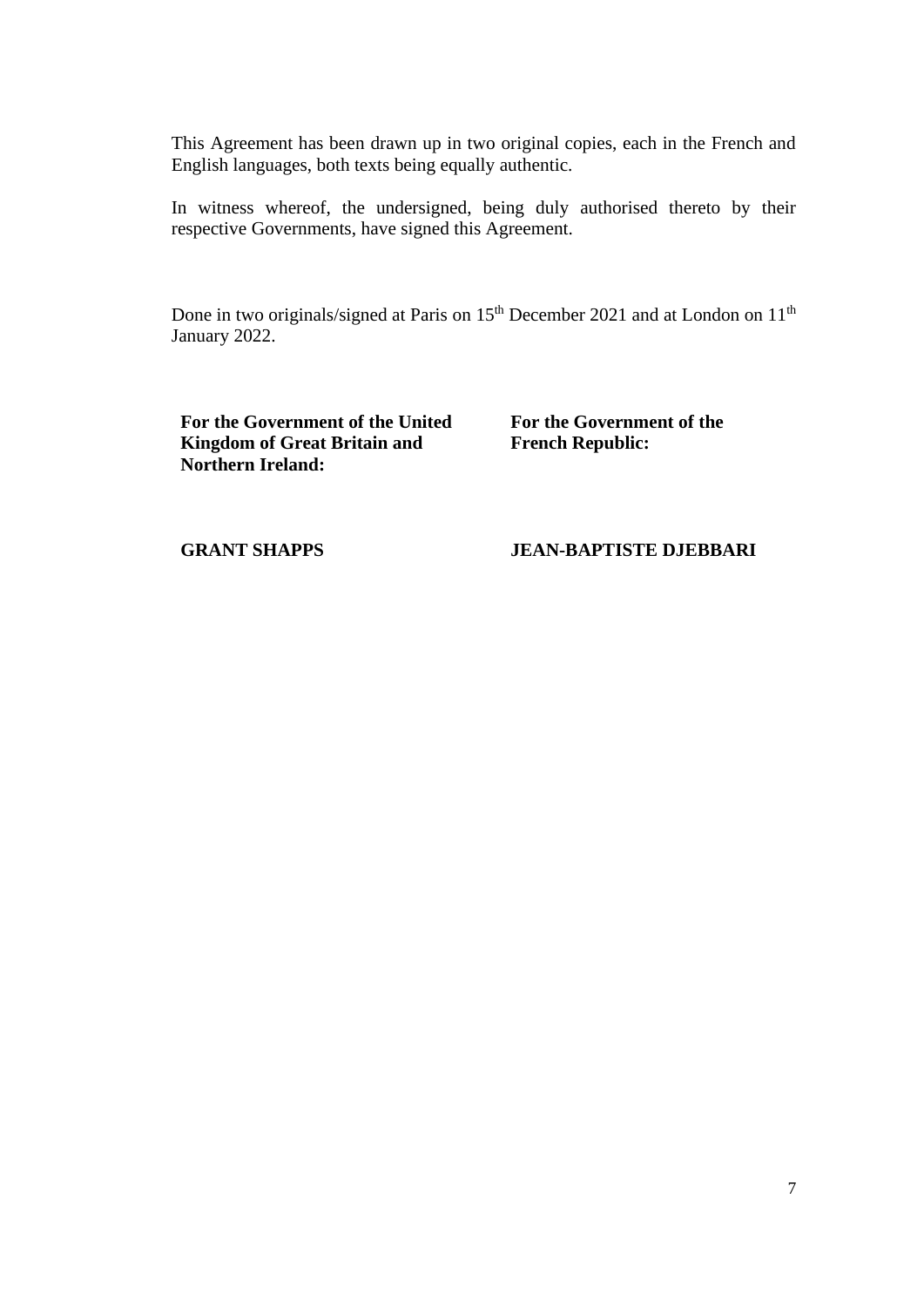This Agreement has been drawn up in two original copies, each in the French and English languages, both texts being equally authentic.

In witness whereof, the undersigned, being duly authorised thereto by their respective Governments, have signed this Agreement.

Done in two originals/signed at Paris on 15<sup>th</sup> December 2021 and at London on 11<sup>th</sup> January 2022.

**For the Government of the United Kingdom of Great Britain and Northern Ireland:** 

**For the Government of the French Republic:**

#### **GRANT SHAPPS**

## **JEAN-BAPTISTE DJEBBARI**